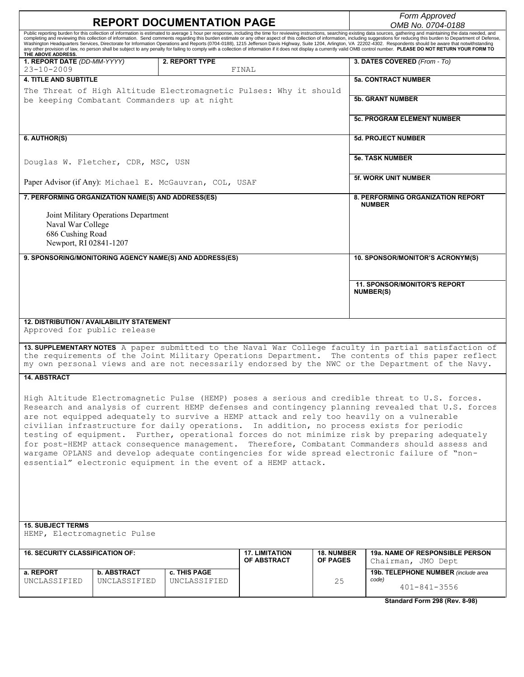| <b>REPORT DOCUMENTATION PAGE</b>                                                                                                                                                                                                                                                                                                                                                                                                                                                                                                                                                                                                                                                                                                                                     |                                             |                                      | Form Approved<br>OMB No. 0704-0188                        |  |
|----------------------------------------------------------------------------------------------------------------------------------------------------------------------------------------------------------------------------------------------------------------------------------------------------------------------------------------------------------------------------------------------------------------------------------------------------------------------------------------------------------------------------------------------------------------------------------------------------------------------------------------------------------------------------------------------------------------------------------------------------------------------|---------------------------------------------|--------------------------------------|-----------------------------------------------------------|--|
| Public reporting burden for this collection of information is estimated to average 1 hour per response, including the time for reviewing instructions, searching existing data sources, gathering and maintaining the data nee                                                                                                                                                                                                                                                                                                                                                                                                                                                                                                                                       |                                             |                                      |                                                           |  |
| completing and reviewing this collection of information. Send comments regarding this burden estimate or any other aspect of this collection of information, including suggestions for reducing this burden to Department of D<br>Washington Headquarters Services, Directorate for Information Operations and Reports (0704-0188), 1215 Jefferson Davis Highway, Suite 1204, Arlington, VA 22202-4302. Respondents should be aware that notwithstanding                                                                                                                                                                                                                                                                                                             |                                             |                                      |                                                           |  |
| any other provision of law, no person shall be subject to any penalty for failing to comply with a collection of information if it does not display a currently valid OMB control number. PLEASE DO NOT RETURN YOUR FORM TO<br>THE ABOVE ADDRESS.                                                                                                                                                                                                                                                                                                                                                                                                                                                                                                                    |                                             |                                      |                                                           |  |
| 2. REPORT TYPE<br>1. REPORT DATE (DD-MM-YYYY)<br>$23 - 10 - 2009$                                                                                                                                                                                                                                                                                                                                                                                                                                                                                                                                                                                                                                                                                                    | FINAL                                       |                                      | 3. DATES COVERED (From - To)                              |  |
| <b>4. TITLE AND SUBTITLE</b>                                                                                                                                                                                                                                                                                                                                                                                                                                                                                                                                                                                                                                                                                                                                         |                                             |                                      | <b>5a. CONTRACT NUMBER</b>                                |  |
| The Threat of High Altitude Electromagnetic Pulses: Why it should<br>be keeping Combatant Commanders up at night                                                                                                                                                                                                                                                                                                                                                                                                                                                                                                                                                                                                                                                     |                                             |                                      | <b>5b. GRANT NUMBER</b>                                   |  |
|                                                                                                                                                                                                                                                                                                                                                                                                                                                                                                                                                                                                                                                                                                                                                                      |                                             |                                      | <b>5c. PROGRAM ELEMENT NUMBER</b>                         |  |
| 6. AUTHOR(S)                                                                                                                                                                                                                                                                                                                                                                                                                                                                                                                                                                                                                                                                                                                                                         |                                             |                                      | <b>5d. PROJECT NUMBER</b>                                 |  |
| Douglas W. Fletcher, CDR, MSC, USN                                                                                                                                                                                                                                                                                                                                                                                                                                                                                                                                                                                                                                                                                                                                   |                                             |                                      | <b>5e. TASK NUMBER</b>                                    |  |
| Paper Advisor (if Any): Michael E. McGauvran, COL, USAF                                                                                                                                                                                                                                                                                                                                                                                                                                                                                                                                                                                                                                                                                                              |                                             |                                      | 5f. WORK UNIT NUMBER                                      |  |
| 7. PERFORMING ORGANIZATION NAME(S) AND ADDRESS(ES)                                                                                                                                                                                                                                                                                                                                                                                                                                                                                                                                                                                                                                                                                                                   |                                             |                                      | 8. PERFORMING ORGANIZATION REPORT<br><b>NUMBER</b>        |  |
| Joint Military Operations Department<br>Naval War College<br>686 Cushing Road<br>Newport, RI 02841-1207                                                                                                                                                                                                                                                                                                                                                                                                                                                                                                                                                                                                                                                              |                                             |                                      |                                                           |  |
| 9. SPONSORING/MONITORING AGENCY NAME(S) AND ADDRESS(ES)                                                                                                                                                                                                                                                                                                                                                                                                                                                                                                                                                                                                                                                                                                              |                                             |                                      | 10. SPONSOR/MONITOR'S ACRONYM(S)                          |  |
|                                                                                                                                                                                                                                                                                                                                                                                                                                                                                                                                                                                                                                                                                                                                                                      |                                             |                                      | <b>11. SPONSOR/MONITOR'S REPORT</b><br><b>NUMBER(S)</b>   |  |
| <b>12. DISTRIBUTION / AVAILABILITY STATEMENT</b><br>Approved for public release<br>13. SUPPLEMENTARY NOTES A paper submitted to the Naval War College faculty in partial satisfaction of<br>the requirements of the Joint Military Operations Department. The contents of this paper reflect<br>my own personal views and are not necessarily endorsed by the NWC or the Department of the Navy.                                                                                                                                                                                                                                                                                                                                                                     |                                             |                                      |                                                           |  |
| <b>14. ABSTRACT</b>                                                                                                                                                                                                                                                                                                                                                                                                                                                                                                                                                                                                                                                                                                                                                  |                                             |                                      |                                                           |  |
| High Altitude Electromagnetic Pulse (HEMP) poses a serious and credible threat to U.S. forces.<br>Research and analysis of current HEMP defenses and contingency planning revealed that U.S. forces<br>are not equipped adequately to survive a HEMP attack and rely too heavily on a vulnerable<br>civilian infrastructure for daily operations. In addition, no process exists for periodic<br>testing of equipment. Further, operational forces do not minimize risk by preparing adequately<br>for post-HEMP attack consequence management. Therefore, Combatant Commanders should assess and<br>wargame OPLANS and develop adequate contingencies for wide spread electronic failure of "non-<br>essential" electronic equipment in the event of a HEMP attack. |                                             |                                      |                                                           |  |
| <b>15. SUBJECT TERMS</b><br>HEMP, Electromagnetic Pulse                                                                                                                                                                                                                                                                                                                                                                                                                                                                                                                                                                                                                                                                                                              |                                             |                                      |                                                           |  |
| <b>16. SECURITY CLASSIFICATION OF:</b>                                                                                                                                                                                                                                                                                                                                                                                                                                                                                                                                                                                                                                                                                                                               | <b>17. LIMITATION</b><br><b>OF ABSTRACT</b> | <b>18. NUMBER</b><br><b>OF PAGES</b> | <b>19a. NAME OF RESPONSIBLE PERSON</b>                    |  |
| <b>b. ABSTRACT</b><br>a. REPORT<br><b>c. THIS PAGE</b>                                                                                                                                                                                                                                                                                                                                                                                                                                                                                                                                                                                                                                                                                                               |                                             |                                      | Chairman, JMO Dept<br>19b. TELEPHONE NUMBER (include area |  |
| UNCLASSIFIED<br>UNCLASSIFIED<br>UNCLASSIFIED                                                                                                                                                                                                                                                                                                                                                                                                                                                                                                                                                                                                                                                                                                                         |                                             | 25                                   | code)<br>$401 - 841 - 3556$                               |  |
|                                                                                                                                                                                                                                                                                                                                                                                                                                                                                                                                                                                                                                                                                                                                                                      |                                             |                                      | Standard Form 298 (Rev. 8-98)                             |  |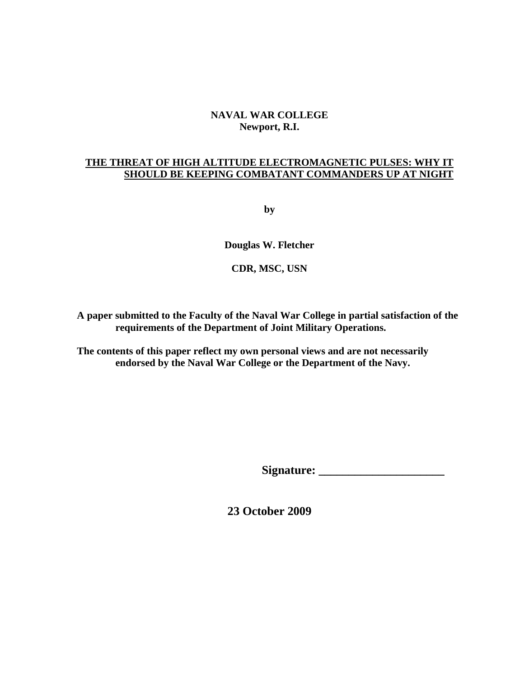# **NAVAL WAR COLLEGE Newport, R.I.**

# **THE THREAT OF HIGH ALTITUDE ELECTROMAGNETIC PULSES: WHY IT SHOULD BE KEEPING COMBATANT COMMANDERS UP AT NIGHT**

**by**

**Douglas W. Fletcher** 

**CDR, MSC, USN** 

**A paper submitted to the Faculty of the Naval War College in partial satisfaction of the requirements of the Department of Joint Military Operations.** 

**The contents of this paper reflect my own personal views and are not necessarily endorsed by the Naval War College or the Department of the Navy.** 

Signature:

**23 October 2009**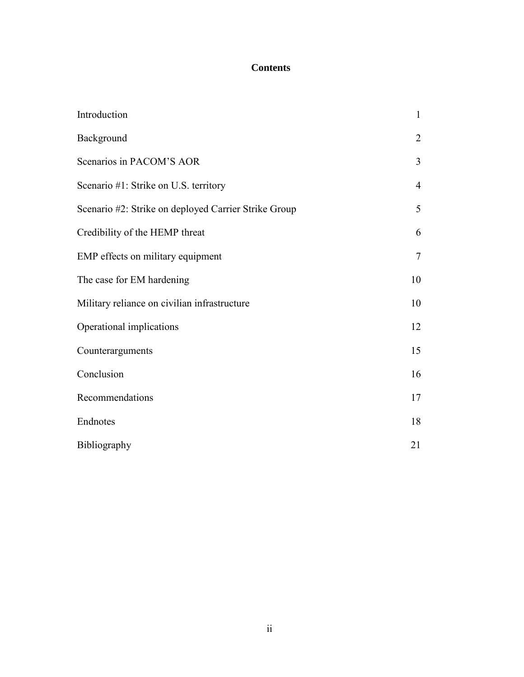# **Contents**

| Introduction                                         | $\mathbf{1}$   |
|------------------------------------------------------|----------------|
| Background                                           | $\overline{2}$ |
| Scenarios in PACOM'S AOR                             | 3              |
| Scenario #1: Strike on U.S. territory                | $\overline{4}$ |
| Scenario #2: Strike on deployed Carrier Strike Group | 5              |
| Credibility of the HEMP threat                       | 6              |
| EMP effects on military equipment                    | $\overline{7}$ |
| The case for EM hardening                            | 10             |
| Military reliance on civilian infrastructure         | 10             |
| Operational implications                             | 12             |
| Counterarguments                                     | 15             |
| Conclusion                                           | 16             |
| Recommendations                                      | 17             |
| Endnotes                                             | 18             |
| <b>Bibliography</b>                                  | 21             |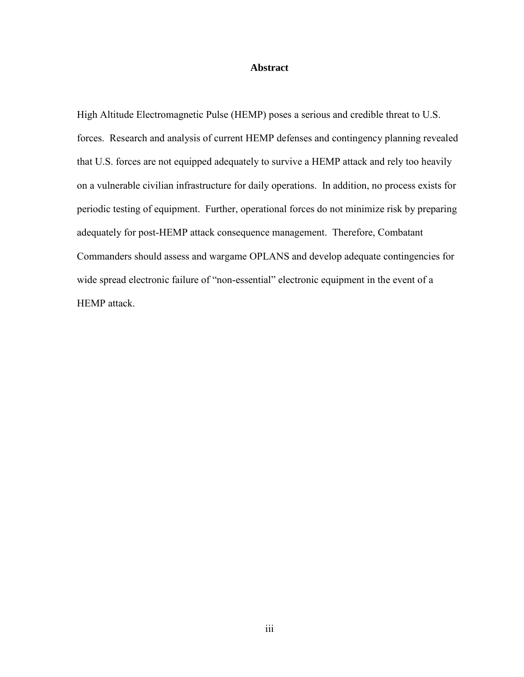# **Abstract**

High Altitude Electromagnetic Pulse (HEMP) poses a serious and credible threat to U.S. forces. Research and analysis of current HEMP defenses and contingency planning revealed that U.S. forces are not equipped adequately to survive a HEMP attack and rely too heavily on a vulnerable civilian infrastructure for daily operations. In addition, no process exists for periodic testing of equipment. Further, operational forces do not minimize risk by preparing adequately for post-HEMP attack consequence management. Therefore, Combatant Commanders should assess and wargame OPLANS and develop adequate contingencies for wide spread electronic failure of "non-essential" electronic equipment in the event of a HEMP attack.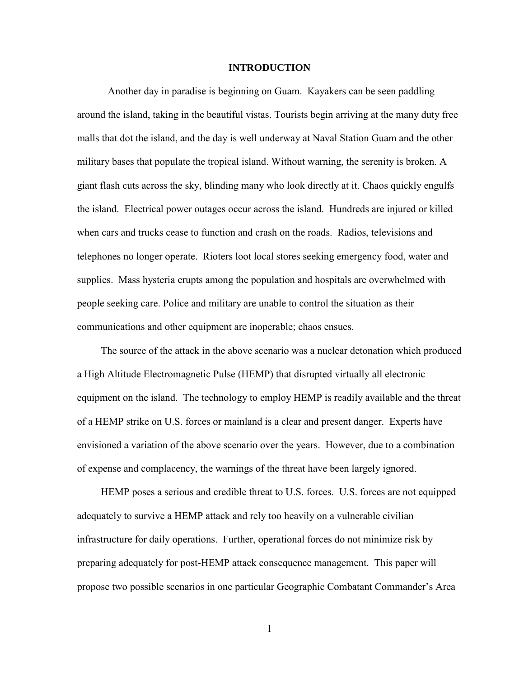### **INTRODUCTION**

Another day in paradise is beginning on Guam. Kayakers can be seen paddling around the island, taking in the beautiful vistas. Tourists begin arriving at the many duty free malls that dot the island, and the day is well underway at Naval Station Guam and the other military bases that populate the tropical island. Without warning, the serenity is broken. A giant flash cuts across the sky, blinding many who look directly at it. Chaos quickly engulfs the island. Electrical power outages occur across the island. Hundreds are injured or killed when cars and trucks cease to function and crash on the roads. Radios, televisions and telephones no longer operate. Rioters loot local stores seeking emergency food, water and supplies. Mass hysteria erupts among the population and hospitals are overwhelmed with people seeking care. Police and military are unable to control the situation as their communications and other equipment are inoperable; chaos ensues.

The source of the attack in the above scenario was a nuclear detonation which produced a High Altitude Electromagnetic Pulse (HEMP) that disrupted virtually all electronic equipment on the island. The technology to employ HEMP is readily available and the threat of a HEMP strike on U.S. forces or mainland is a clear and present danger. Experts have envisioned a variation of the above scenario over the years. However, due to a combination of expense and complacency, the warnings of the threat have been largely ignored.

HEMP poses a serious and credible threat to U.S. forces. U.S. forces are not equipped adequately to survive a HEMP attack and rely too heavily on a vulnerable civilian infrastructure for daily operations. Further, operational forces do not minimize risk by preparing adequately for post-HEMP attack consequence management. This paper will propose two possible scenarios in one particular Geographic Combatant Commander's Area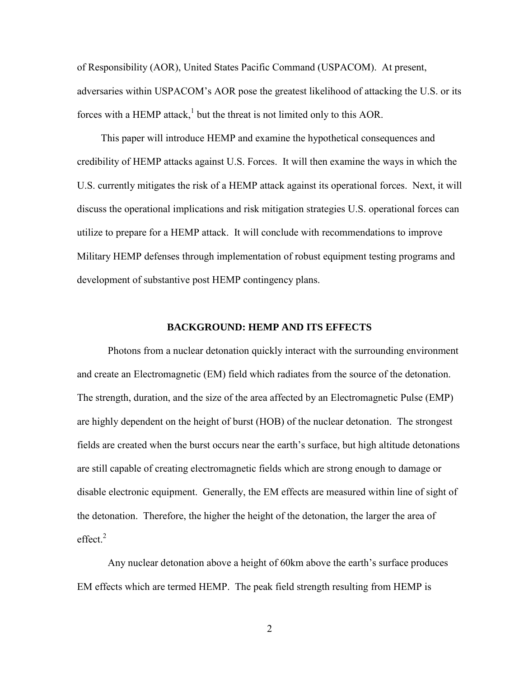of Responsibility (AOR), United States Pacific Command (USPACOM). At present, adversaries within USPACOM's AOR pose the greatest likelihood of attacking the U.S. or its forces with a HEMP attack,<sup>1</sup> but the threat is not limited only to this AOR.

 This paper will introduce HEMP and examine the hypothetical consequences and credibility of HEMP attacks against U.S. Forces. It will then examine the ways in which the U.S. currently mitigates the risk of a HEMP attack against its operational forces. Next, it will discuss the operational implications and risk mitigation strategies U.S. operational forces can utilize to prepare for a HEMP attack. It will conclude with recommendations to improve Military HEMP defenses through implementation of robust equipment testing programs and development of substantive post HEMP contingency plans.

#### **BACKGROUND: HEMP AND ITS EFFECTS**

 Photons from a nuclear detonation quickly interact with the surrounding environment and create an Electromagnetic (EM) field which radiates from the source of the detonation. The strength, duration, and the size of the area affected by an Electromagnetic Pulse (EMP) are highly dependent on the height of burst (HOB) of the nuclear detonation. The strongest fields are created when the burst occurs near the earth's surface, but high altitude detonations are still capable of creating electromagnetic fields which are strong enough to damage or disable electronic equipment. Generally, the EM effects are measured within line of sight of the detonation. Therefore, the higher the height of the detonation, the larger the area of effect. $^{2}$ 

Any nuclear detonation above a height of 60km above the earth's surface produces EM effects which are termed HEMP. The peak field strength resulting from HEMP is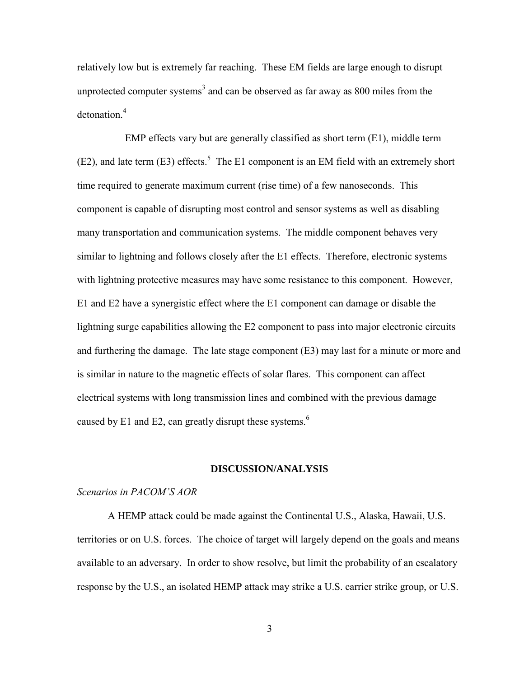relatively low but is extremely far reaching. These EM fields are large enough to disrupt unprotected computer systems<sup>3</sup> and can be observed as far away as  $800$  miles from the detonation.<sup>4</sup>

 EMP effects vary but are generally classified as short term (E1), middle term  $(E2)$ , and late term  $(E3)$  effects.<sup>5</sup> The E1 component is an EM field with an extremely short time required to generate maximum current (rise time) of a few nanoseconds. This component is capable of disrupting most control and sensor systems as well as disabling many transportation and communication systems. The middle component behaves very similar to lightning and follows closely after the E1 effects. Therefore, electronic systems with lightning protective measures may have some resistance to this component. However, E1 and E2 have a synergistic effect where the E1 component can damage or disable the lightning surge capabilities allowing the E2 component to pass into major electronic circuits and furthering the damage. The late stage component (E3) may last for a minute or more and is similar in nature to the magnetic effects of solar flares. This component can affect electrical systems with long transmission lines and combined with the previous damage caused by E1 and E2, can greatly disrupt these systems.<sup>6</sup>

#### **DISCUSSION/ANALYSIS**

# *Scenarios in PACOM'S AOR*

A HEMP attack could be made against the Continental U.S., Alaska, Hawaii, U.S. territories or on U.S. forces. The choice of target will largely depend on the goals and means available to an adversary. In order to show resolve, but limit the probability of an escalatory response by the U.S., an isolated HEMP attack may strike a U.S. carrier strike group, or U.S.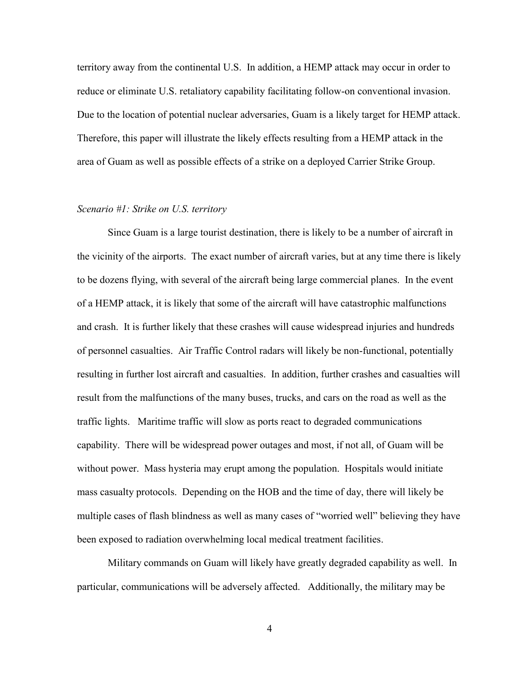territory away from the continental U.S. In addition, a HEMP attack may occur in order to reduce or eliminate U.S. retaliatory capability facilitating follow-on conventional invasion. Due to the location of potential nuclear adversaries, Guam is a likely target for HEMP attack. Therefore, this paper will illustrate the likely effects resulting from a HEMP attack in the area of Guam as well as possible effects of a strike on a deployed Carrier Strike Group.

### *Scenario #1: Strike on U.S. territory*

 Since Guam is a large tourist destination, there is likely to be a number of aircraft in the vicinity of the airports. The exact number of aircraft varies, but at any time there is likely to be dozens flying, with several of the aircraft being large commercial planes. In the event of a HEMP attack, it is likely that some of the aircraft will have catastrophic malfunctions and crash. It is further likely that these crashes will cause widespread injuries and hundreds of personnel casualties. Air Traffic Control radars will likely be non-functional, potentially resulting in further lost aircraft and casualties. In addition, further crashes and casualties will result from the malfunctions of the many buses, trucks, and cars on the road as well as the traffic lights. Maritime traffic will slow as ports react to degraded communications capability. There will be widespread power outages and most, if not all, of Guam will be without power. Mass hysteria may erupt among the population. Hospitals would initiate mass casualty protocols. Depending on the HOB and the time of day, there will likely be multiple cases of flash blindness as well as many cases of "worried well" believing they have been exposed to radiation overwhelming local medical treatment facilities.

Military commands on Guam will likely have greatly degraded capability as well. In particular, communications will be adversely affected. Additionally, the military may be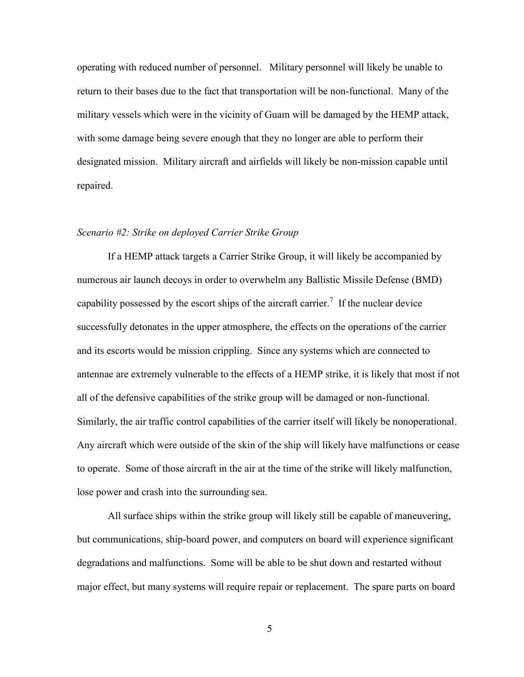operating with reduced number of personnel. Military personnel will likely be unable to return to their bases due to the fact that transportation will be non-functional. Many of the military vessels which were in the vicinity of Guam will be damaged by the HEMP attack, with some damage being severe enough that they no longer are able to perform their designated mission. Military aircraft and airfields will likely be non-mission capable until repaired.

### *Scenario #2: Strike on deployed Carrier Strike Group*

 If a HEMP attack targets a Carrier Strike Group, it will likely be accompanied by numerous air launch decoys in order to overwhelm any Ballistic Missile Defense (BMD) capability possessed by the escort ships of the aircraft carrier.<sup>7</sup> If the nuclear device successfully detonates in the upper atmosphere, the effects on the operations of the carrier and its escorts would be mission crippling. Since any systems which are connected to antennae are extremely vulnerable to the effects of a HEMP strike, it is likely that most if not all of the defensive capabilities of the strike group will be damaged or non-functional. Similarly, the air traffic control capabilities of the carrier itself will likely be nonoperational. Any aircraft which were outside of the skin of the ship will likely have malfunctions or cease to operate. Some of those aircraft in the air at the time of the strike will likely malfunction, lose power and crash into the surrounding sea.

 All surface ships within the strike group will likely still be capable of maneuvering, but communications, ship-board power, and computers on board will experience significant degradations and malfunctions. Some will be able to be shut down and restarted without major effect, but many systems will require repair or replacement. The spare parts on board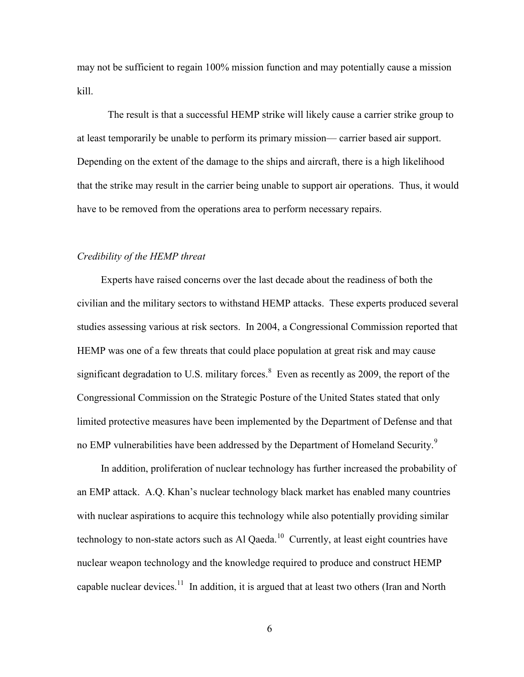may not be sufficient to regain 100% mission function and may potentially cause a mission kill.

The result is that a successful HEMP strike will likely cause a carrier strike group to at least temporarily be unable to perform its primary mission— carrier based air support. Depending on the extent of the damage to the ships and aircraft, there is a high likelihood that the strike may result in the carrier being unable to support air operations. Thus, it would have to be removed from the operations area to perform necessary repairs.

# *Credibility of the HEMP threat*

 Experts have raised concerns over the last decade about the readiness of both the civilian and the military sectors to withstand HEMP attacks. These experts produced several studies assessing various at risk sectors. In 2004, a Congressional Commission reported that HEMP was one of a few threats that could place population at great risk and may cause significant degradation to U.S. military forces. $8$  Even as recently as 2009, the report of the Congressional Commission on the Strategic Posture of the United States stated that only limited protective measures have been implemented by the Department of Defense and that no EMP vulnerabilities have been addressed by the Department of Homeland Security.<sup>9</sup>

 In addition, proliferation of nuclear technology has further increased the probability of an EMP attack. A.Q. Khan's nuclear technology black market has enabled many countries with nuclear aspirations to acquire this technology while also potentially providing similar technology to non-state actors such as Al Qaeda.<sup>10</sup> Currently, at least eight countries have nuclear weapon technology and the knowledge required to produce and construct HEMP capable nuclear devices.<sup>11</sup> In addition, it is argued that at least two others (Iran and North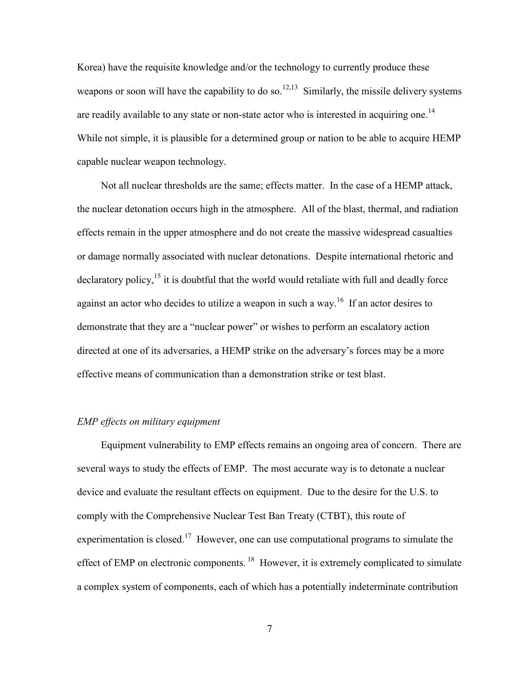Korea) have the requisite knowledge and/or the technology to currently produce these weapons or soon will have the capability to do so.<sup>12,13</sup> Similarly, the missile delivery systems are readily available to any state or non-state actor who is interested in acquiring one.<sup>14</sup> While not simple, it is plausible for a determined group or nation to be able to acquire HEMP capable nuclear weapon technology.

 Not all nuclear thresholds are the same; effects matter. In the case of a HEMP attack, the nuclear detonation occurs high in the atmosphere. All of the blast, thermal, and radiation effects remain in the upper atmosphere and do not create the massive widespread casualties or damage normally associated with nuclear detonations. Despite international rhetoric and  $\alpha$  declaratory policy,<sup>15</sup> it is doubtful that the world would retaliate with full and deadly force against an actor who decides to utilize a weapon in such a way.<sup>16</sup> If an actor desires to demonstrate that they are a "nuclear power" or wishes to perform an escalatory action directed at one of its adversaries, a HEMP strike on the adversary's forces may be a more effective means of communication than a demonstration strike or test blast.

# *EMP effects on military equipment*

 Equipment vulnerability to EMP effects remains an ongoing area of concern. There are several ways to study the effects of EMP. The most accurate way is to detonate a nuclear device and evaluate the resultant effects on equipment. Due to the desire for the U.S. to comply with the Comprehensive Nuclear Test Ban Treaty (CTBT), this route of experimentation is closed.<sup>17</sup> However, one can use computational programs to simulate the effect of EMP on electronic components.<sup>18</sup> However, it is extremely complicated to simulate a complex system of components, each of which has a potentially indeterminate contribution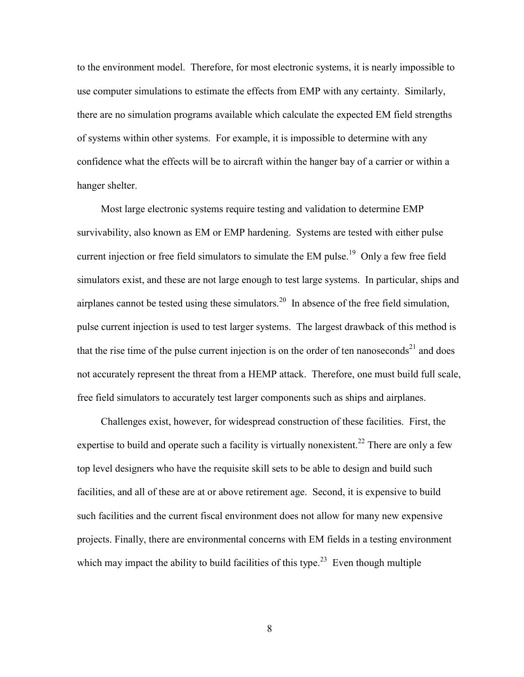to the environment model. Therefore, for most electronic systems, it is nearly impossible to use computer simulations to estimate the effects from EMP with any certainty. Similarly, there are no simulation programs available which calculate the expected EM field strengths of systems within other systems. For example, it is impossible to determine with any confidence what the effects will be to aircraft within the hanger bay of a carrier or within a hanger shelter.

 Most large electronic systems require testing and validation to determine EMP survivability, also known as EM or EMP hardening. Systems are tested with either pulse current injection or free field simulators to simulate the EM pulse.<sup>19</sup> Only a few free field simulators exist, and these are not large enough to test large systems. In particular, ships and airplanes cannot be tested using these simulators.<sup>20</sup> In absence of the free field simulation, pulse current injection is used to test larger systems. The largest drawback of this method is that the rise time of the pulse current injection is on the order of ten nanoseconds<sup>21</sup> and does not accurately represent the threat from a HEMP attack. Therefore, one must build full scale, free field simulators to accurately test larger components such as ships and airplanes.

 Challenges exist, however, for widespread construction of these facilities. First, the expertise to build and operate such a facility is virtually nonexistent.<sup>22</sup> There are only a few top level designers who have the requisite skill sets to be able to design and build such facilities, and all of these are at or above retirement age. Second, it is expensive to build such facilities and the current fiscal environment does not allow for many new expensive projects. Finally, there are environmental concerns with EM fields in a testing environment which may impact the ability to build facilities of this type.<sup>23</sup> Even though multiple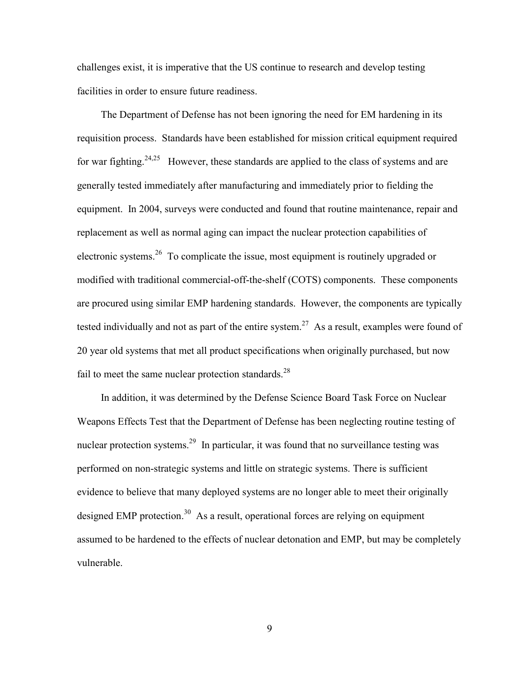challenges exist, it is imperative that the US continue to research and develop testing facilities in order to ensure future readiness.

 The Department of Defense has not been ignoring the need for EM hardening in its requisition process. Standards have been established for mission critical equipment required for war fighting.<sup>24,25</sup> However, these standards are applied to the class of systems and are generally tested immediately after manufacturing and immediately prior to fielding the equipment. In 2004, surveys were conducted and found that routine maintenance, repair and replacement as well as normal aging can impact the nuclear protection capabilities of electronic systems.<sup>26</sup> To complicate the issue, most equipment is routinely upgraded or modified with traditional commercial-off-the-shelf (COTS) components. These components are procured using similar EMP hardening standards. However, the components are typically tested individually and not as part of the entire system.<sup>27</sup> As a result, examples were found of 20 year old systems that met all product specifications when originally purchased, but now fail to meet the same nuclear protection standards. $^{28}$ 

 In addition, it was determined by the Defense Science Board Task Force on Nuclear Weapons Effects Test that the Department of Defense has been neglecting routine testing of nuclear protection systems.<sup>29</sup> In particular, it was found that no surveillance testing was performed on non-strategic systems and little on strategic systems. There is sufficient evidence to believe that many deployed systems are no longer able to meet their originally designed EMP protection.<sup>30</sup> As a result, operational forces are relying on equipment assumed to be hardened to the effects of nuclear detonation and EMP, but may be completely vulnerable.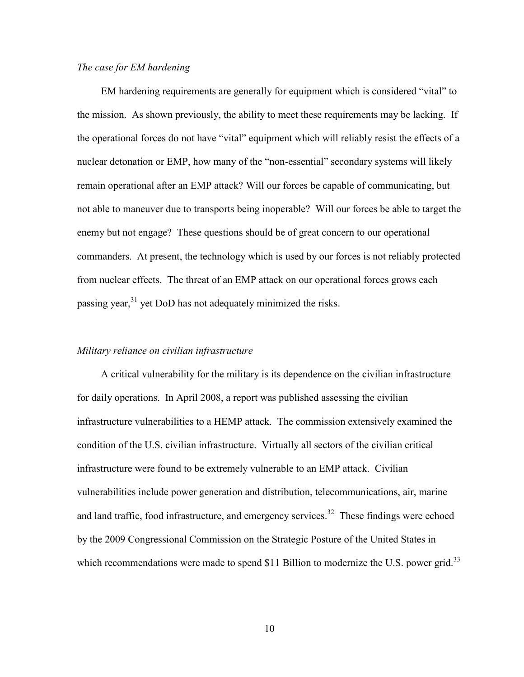# *The case for EM hardening*

EM hardening requirements are generally for equipment which is considered "vital" to the mission. As shown previously, the ability to meet these requirements may be lacking. If the operational forces do not have "vital" equipment which will reliably resist the effects of a nuclear detonation or EMP, how many of the "non-essential" secondary systems will likely remain operational after an EMP attack? Will our forces be capable of communicating, but not able to maneuver due to transports being inoperable? Will our forces be able to target the enemy but not engage? These questions should be of great concern to our operational commanders. At present, the technology which is used by our forces is not reliably protected from nuclear effects. The threat of an EMP attack on our operational forces grows each passing year, $31$  yet DoD has not adequately minimized the risks.

### *Military reliance on civilian infrastructure*

 A critical vulnerability for the military is its dependence on the civilian infrastructure for daily operations. In April 2008, a report was published assessing the civilian infrastructure vulnerabilities to a HEMP attack. The commission extensively examined the condition of the U.S. civilian infrastructure. Virtually all sectors of the civilian critical infrastructure were found to be extremely vulnerable to an EMP attack. Civilian vulnerabilities include power generation and distribution, telecommunications, air, marine and land traffic, food infrastructure, and emergency services.<sup>32</sup> These findings were echoed by the 2009 Congressional Commission on the Strategic Posture of the United States in which recommendations were made to spend \$11 Billion to modernize the U.S. power grid.<sup>33</sup>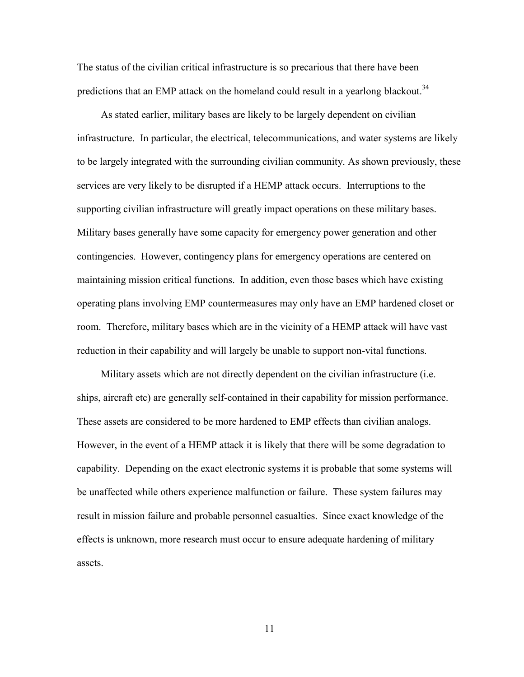The status of the civilian critical infrastructure is so precarious that there have been predictions that an EMP attack on the homeland could result in a yearlong blackout.<sup>34</sup>

 As stated earlier, military bases are likely to be largely dependent on civilian infrastructure. In particular, the electrical, telecommunications, and water systems are likely to be largely integrated with the surrounding civilian community. As shown previously, these services are very likely to be disrupted if a HEMP attack occurs. Interruptions to the supporting civilian infrastructure will greatly impact operations on these military bases. Military bases generally have some capacity for emergency power generation and other contingencies. However, contingency plans for emergency operations are centered on maintaining mission critical functions. In addition, even those bases which have existing operating plans involving EMP countermeasures may only have an EMP hardened closet or room. Therefore, military bases which are in the vicinity of a HEMP attack will have vast reduction in their capability and will largely be unable to support non-vital functions.

 Military assets which are not directly dependent on the civilian infrastructure (i.e. ships, aircraft etc) are generally self-contained in their capability for mission performance. These assets are considered to be more hardened to EMP effects than civilian analogs. However, in the event of a HEMP attack it is likely that there will be some degradation to capability. Depending on the exact electronic systems it is probable that some systems will be unaffected while others experience malfunction or failure. These system failures may result in mission failure and probable personnel casualties. Since exact knowledge of the effects is unknown, more research must occur to ensure adequate hardening of military assets.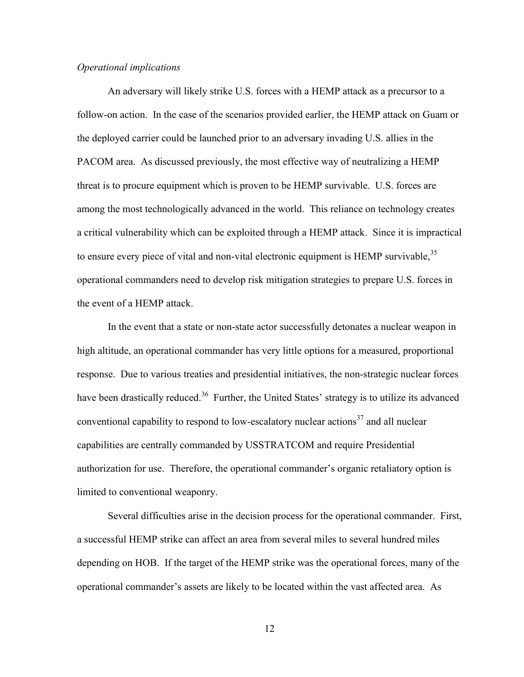### *Operational implications*

 An adversary will likely strike U.S. forces with a HEMP attack as a precursor to a follow-on action. In the case of the scenarios provided earlier, the HEMP attack on Guam or the deployed carrier could be launched prior to an adversary invading U.S. allies in the PACOM area. As discussed previously, the most effective way of neutralizing a HEMP threat is to procure equipment which is proven to be HEMP survivable. U.S. forces are among the most technologically advanced in the world. This reliance on technology creates a critical vulnerability which can be exploited through a HEMP attack. Since it is impractical to ensure every piece of vital and non-vital electronic equipment is HEMP survivable,  $35$ operational commanders need to develop risk mitigation strategies to prepare U.S. forces in the event of a HEMP attack.

In the event that a state or non-state actor successfully detonates a nuclear weapon in high altitude, an operational commander has very little options for a measured, proportional response. Due to various treaties and presidential initiatives, the non-strategic nuclear forces have been drastically reduced.<sup>36</sup> Further, the United States' strategy is to utilize its advanced conventional capability to respond to low-escalatory nuclear actions<sup>37</sup> and all nuclear capabilities are centrally commanded by USSTRATCOM and require Presidential authorization for use. Therefore, the operational commander's organic retaliatory option is limited to conventional weaponry.

Several difficulties arise in the decision process for the operational commander. First, a successful HEMP strike can affect an area from several miles to several hundred miles depending on HOB. If the target of the HEMP strike was the operational forces, many of the operational commander's assets are likely to be located within the vast affected area. As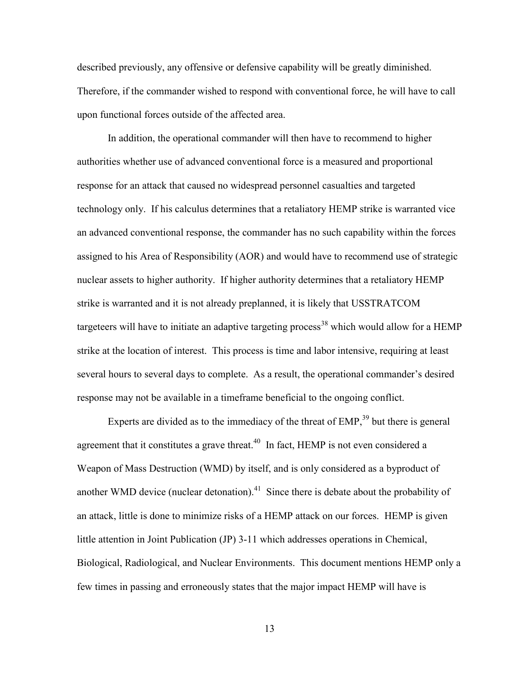described previously, any offensive or defensive capability will be greatly diminished. Therefore, if the commander wished to respond with conventional force, he will have to call upon functional forces outside of the affected area.

In addition, the operational commander will then have to recommend to higher authorities whether use of advanced conventional force is a measured and proportional response for an attack that caused no widespread personnel casualties and targeted technology only. If his calculus determines that a retaliatory HEMP strike is warranted vice an advanced conventional response, the commander has no such capability within the forces assigned to his Area of Responsibility (AOR) and would have to recommend use of strategic nuclear assets to higher authority. If higher authority determines that a retaliatory HEMP strike is warranted and it is not already preplanned, it is likely that USSTRATCOM targeteers will have to initiate an adaptive targeting process<sup>38</sup> which would allow for a HEMP strike at the location of interest. This process is time and labor intensive, requiring at least several hours to several days to complete. As a result, the operational commander's desired response may not be available in a timeframe beneficial to the ongoing conflict.

Experts are divided as to the immediacy of the threat of  $EMP<sub>39</sub><sup>39</sup>$  but there is general agreement that it constitutes a grave threat.<sup>40</sup> In fact, HEMP is not even considered a Weapon of Mass Destruction (WMD) by itself, and is only considered as a byproduct of another WMD device (nuclear detonation).<sup>41</sup> Since there is debate about the probability of an attack, little is done to minimize risks of a HEMP attack on our forces. HEMP is given little attention in Joint Publication (JP) 3-11 which addresses operations in Chemical, Biological, Radiological, and Nuclear Environments. This document mentions HEMP only a few times in passing and erroneously states that the major impact HEMP will have is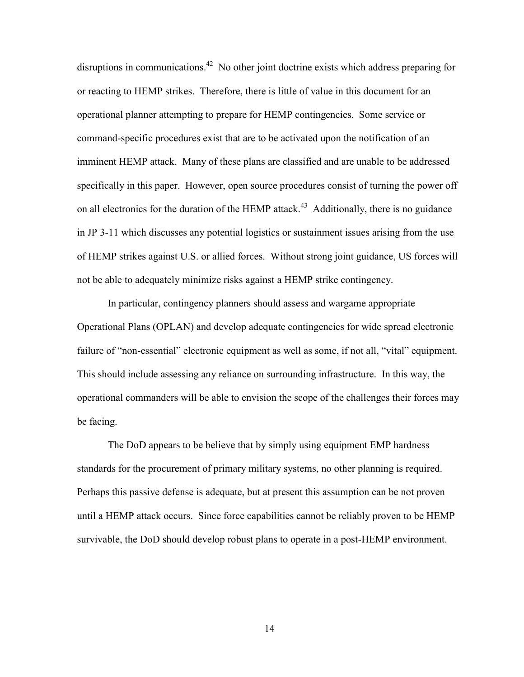disruptions in communications.<sup>42</sup> No other joint doctrine exists which address preparing for or reacting to HEMP strikes. Therefore, there is little of value in this document for an operational planner attempting to prepare for HEMP contingencies. Some service or command-specific procedures exist that are to be activated upon the notification of an imminent HEMP attack. Many of these plans are classified and are unable to be addressed specifically in this paper. However, open source procedures consist of turning the power off on all electronics for the duration of the HEMP attack.<sup>43</sup> Additionally, there is no guidance in JP 3-11 which discusses any potential logistics or sustainment issues arising from the use of HEMP strikes against U.S. or allied forces. Without strong joint guidance, US forces will not be able to adequately minimize risks against a HEMP strike contingency.

In particular, contingency planners should assess and wargame appropriate Operational Plans (OPLAN) and develop adequate contingencies for wide spread electronic failure of "non-essential" electronic equipment as well as some, if not all, "vital" equipment. This should include assessing any reliance on surrounding infrastructure. In this way, the operational commanders will be able to envision the scope of the challenges their forces may be facing.

The DoD appears to be believe that by simply using equipment EMP hardness standards for the procurement of primary military systems, no other planning is required. Perhaps this passive defense is adequate, but at present this assumption can be not proven until a HEMP attack occurs. Since force capabilities cannot be reliably proven to be HEMP survivable, the DoD should develop robust plans to operate in a post-HEMP environment.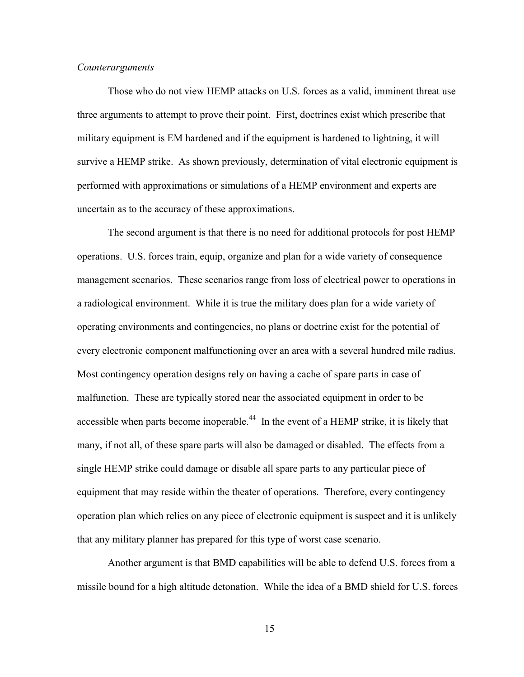### *Counterarguments*

Those who do not view HEMP attacks on U.S. forces as a valid, imminent threat use three arguments to attempt to prove their point. First, doctrines exist which prescribe that military equipment is EM hardened and if the equipment is hardened to lightning, it will survive a HEMP strike. As shown previously, determination of vital electronic equipment is performed with approximations or simulations of a HEMP environment and experts are uncertain as to the accuracy of these approximations.

 The second argument is that there is no need for additional protocols for post HEMP operations. U.S. forces train, equip, organize and plan for a wide variety of consequence management scenarios. These scenarios range from loss of electrical power to operations in a radiological environment. While it is true the military does plan for a wide variety of operating environments and contingencies, no plans or doctrine exist for the potential of every electronic component malfunctioning over an area with a several hundred mile radius. Most contingency operation designs rely on having a cache of spare parts in case of malfunction. These are typically stored near the associated equipment in order to be accessible when parts become inoperable.<sup>44</sup> In the event of a HEMP strike, it is likely that many, if not all, of these spare parts will also be damaged or disabled. The effects from a single HEMP strike could damage or disable all spare parts to any particular piece of equipment that may reside within the theater of operations. Therefore, every contingency operation plan which relies on any piece of electronic equipment is suspect and it is unlikely that any military planner has prepared for this type of worst case scenario.

 Another argument is that BMD capabilities will be able to defend U.S. forces from a missile bound for a high altitude detonation. While the idea of a BMD shield for U.S. forces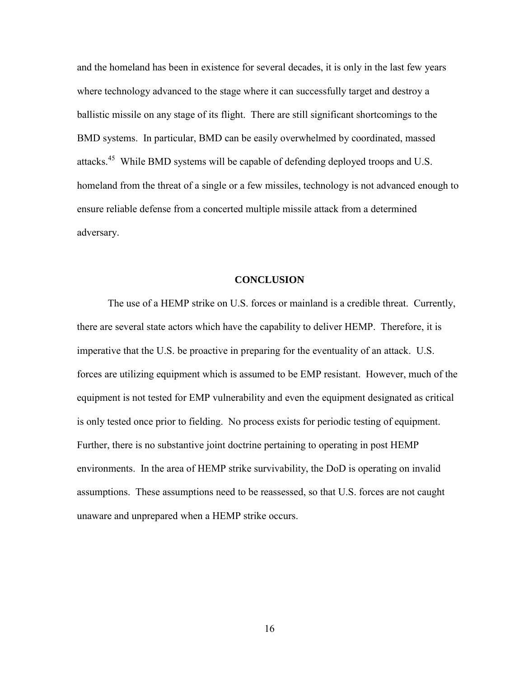and the homeland has been in existence for several decades, it is only in the last few years where technology advanced to the stage where it can successfully target and destroy a ballistic missile on any stage of its flight. There are still significant shortcomings to the BMD systems. In particular, BMD can be easily overwhelmed by coordinated, massed attacks.<sup>45</sup> While BMD systems will be capable of defending deployed troops and U.S. homeland from the threat of a single or a few missiles, technology is not advanced enough to ensure reliable defense from a concerted multiple missile attack from a determined adversary.

#### **CONCLUSION**

The use of a HEMP strike on U.S. forces or mainland is a credible threat. Currently, there are several state actors which have the capability to deliver HEMP. Therefore, it is imperative that the U.S. be proactive in preparing for the eventuality of an attack. U.S. forces are utilizing equipment which is assumed to be EMP resistant. However, much of the equipment is not tested for EMP vulnerability and even the equipment designated as critical is only tested once prior to fielding. No process exists for periodic testing of equipment. Further, there is no substantive joint doctrine pertaining to operating in post HEMP environments. In the area of HEMP strike survivability, the DoD is operating on invalid assumptions. These assumptions need to be reassessed, so that U.S. forces are not caught unaware and unprepared when a HEMP strike occurs.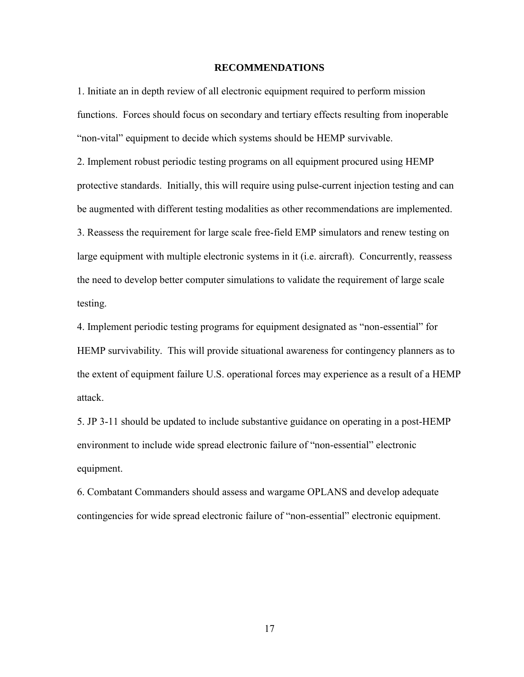### **RECOMMENDATIONS**

1. Initiate an in depth review of all electronic equipment required to perform mission functions. Forces should focus on secondary and tertiary effects resulting from inoperable "non-vital" equipment to decide which systems should be HEMP survivable.

2. Implement robust periodic testing programs on all equipment procured using HEMP protective standards. Initially, this will require using pulse-current injection testing and can be augmented with different testing modalities as other recommendations are implemented. 3. Reassess the requirement for large scale free-field EMP simulators and renew testing on large equipment with multiple electronic systems in it (i.e. aircraft). Concurrently, reassess the need to develop better computer simulations to validate the requirement of large scale testing.

4. Implement periodic testing programs for equipment designated as "non-essential" for HEMP survivability. This will provide situational awareness for contingency planners as to the extent of equipment failure U.S. operational forces may experience as a result of a HEMP attack.

5. JP 3-11 should be updated to include substantive guidance on operating in a post-HEMP environment to include wide spread electronic failure of "non-essential" electronic equipment.

6. Combatant Commanders should assess and wargame OPLANS and develop adequate contingencies for wide spread electronic failure of "non-essential" electronic equipment.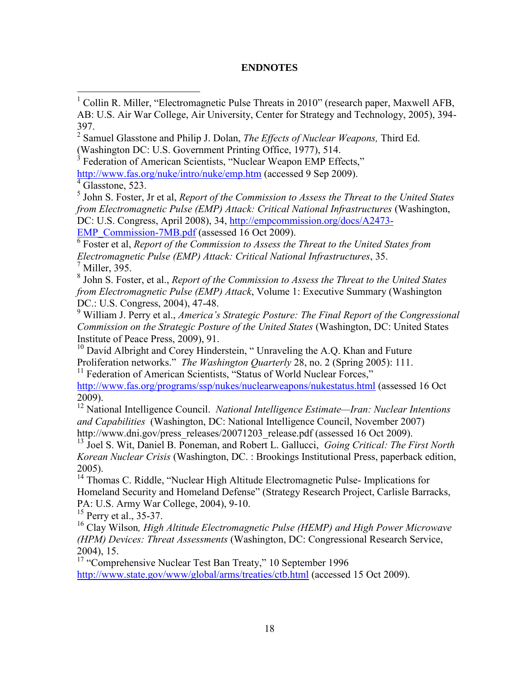# **ENDNOTES**

Federation of American Scientists, "Nuclear Weapon EMP Effects," <http://www.fas.org/nuke/intro/nuke/emp.htm> (accessed 9 Sep 2009).

 $4\overline{\text{Glassone}}$ , 523.

 $\overline{a}$ 

5 John S. Foster, Jr et al, *Report of the Commission to Assess the Threat to the United States from Electromagnetic Pulse (EMP) Attack: Critical National Infrastructures* (Washington, DC: U.S. Congress, April 2008), 34, [http://empcommission.org/docs/A2473-](http://empcommission.org/docs/A2473-EMP_Commission-7MB.pdf)

[EMP\\_Commission-7MB.pdf](http://empcommission.org/docs/A2473-EMP_Commission-7MB.pdf) (assessed 16 Oct 2009).

6 Foster et al, *Report of the Commission to Assess the Threat to the United States from Electromagnetic Pulse (EMP) Attack: Critical National Infrastructures*, 35.  $<sup>7</sup>$  Miller, 395.</sup>

8 John S. Foster, et al., *Report of the Commission to Assess the Threat to the United States from Electromagnetic Pulse (EMP) Attack*, Volume 1: Executive Summary (Washington DC.: U.S. Congress, 2004), 47-48.

<sup>9</sup> William J. Perry et al., *America's Strategic Posture: The Final Report of the Congressional Commission on the Strategic Posture of the United States* (Washington, DC: United States Institute of Peace Press, 2009), 91.

<sup>10</sup> David Albright and Corey Hinderstein, "Unraveling the A.Q. Khan and Future Proliferation networks." *The Washington Quarterly* 28, no. 2 (Spring 2005): 111.

<sup>11</sup> Federation of American Scientists, "Status of World Nuclear Forces," <http://www.fas.org/programs/ssp/nukes/nuclearweapons/nukestatus.html> (assessed 16 Oct 2009).

<sup>12</sup> National Intelligence Council. *National Intelligence Estimate—Iran: Nuclear Intentions and Capabilities* (Washington, DC: National Intelligence Council, November 2007) http://www.dni.gov/press\_releases/20071203\_release.pdf (assessed 16 Oct 2009).

<sup>13</sup> Joel S. Wit, Daniel B. Poneman, and Robert L. Gallucci, *Going Critical: The First North Korean Nuclear Crisis* (Washington, DC. : Brookings Institutional Press, paperback edition, 2005).

<sup>14</sup> Thomas C. Riddle, "Nuclear High Altitude Electromagnetic Pulse- Implications for Homeland Security and Homeland Defense" (Strategy Research Project, Carlisle Barracks, PA: U.S. Army War College, 2004), 9-10.

<sup>15</sup> Perry et al., 35-37.

<sup>16</sup> Clay Wilson*, High Altitude Electromagnetic Pulse (HEMP) and High Power Microwave (HPM) Devices: Threat Assessments* (Washington, DC: Congressional Research Service, 2004), 15.

<sup>17</sup> "Comprehensive Nuclear Test Ban Treaty," 10 September 1996 <http://www.state.gov/www/global/arms/treaties/ctb.html> (accessed 15 Oct 2009).

<sup>1</sup> Collin R. Miller, "Electromagnetic Pulse Threats in 2010" (research paper, Maxwell AFB, AB: U.S. Air War College, Air University, Center for Strategy and Technology, 2005), 394- 397.

<sup>2</sup> Samuel Glasstone and Philip J. Dolan, *The Effects of Nuclear Weapons,* Third Ed. (Washington DC: U.S. Government Printing Office, 1977), 514.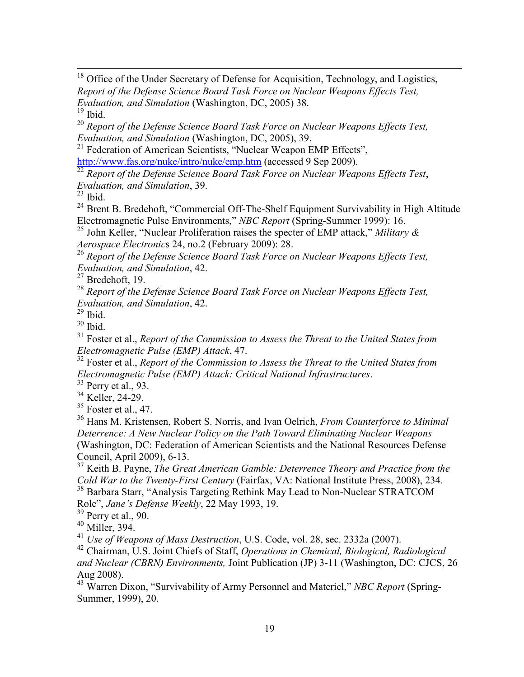<sup>18</sup> Office of the Under Secretary of Defense for Acquisition, Technology, and Logistics, *Report of the Defense Science Board Task Force on Nuclear Weapons Effects Test, Evaluation, and Simulation* (Washington, DC, 2005) 38.

 $19$  Ibid.

 $\overline{a}$ 

<sup>20</sup> *Report of the Defense Science Board Task Force on Nuclear Weapons Effects Test, Evaluation, and Simulation* (Washington, DC, 2005), 39.

<sup>21</sup> Federation of American Scientists, "Nuclear Weapon EMP Effects", <http://www.fas.org/nuke/intro/nuke/emp.htm> (accessed 9 Sep 2009).

<sup>22</sup> Report of the Defense Science Board Task Force on Nuclear Weapons Effects Test, *Evaluation, and Simulation*, 39.

 $^{23}$  Ibid.

<sup>24</sup> Brent B. Bredehoft, "Commercial Off-The-Shelf Equipment Survivability in High Altitude Electromagnetic Pulse Environments," *NBC Report* (Spring-Summer 1999): 16.

<sup>25</sup> John Keller, "Nuclear Proliferation raises the specter of EMP attack," *Military & Aerospace Electronic*s 24, no.2 (February 2009): 28.

<sup>26</sup> *Report of the Defense Science Board Task Force on Nuclear Weapons Effects Test, Evaluation, and Simulation*, 42.

 $27$  Bredehoft, 19.

<sup>28</sup> *Report of the Defense Science Board Task Force on Nuclear Weapons Effects Test, Evaluation, and Simulation*, 42.

 $29$  Ibid.

 $30$  Ibid.

<sup>31</sup> Foster et al., *Report of the Commission to Assess the Threat to the United States from Electromagnetic Pulse (EMP) Attack*, 47.

<sup>32</sup> Foster et al., *Report of the Commission to Assess the Threat to the United States from Electromagnetic Pulse (EMP) Attack: Critical National Infrastructures*.

<sup>33</sup> Perry et al., 93.

<sup>34</sup> Keller, 24-29.

 $35$  Foster et al., 47.

<sup>36</sup> Hans M. Kristensen, Robert S. Norris, and Ivan Oelrich, *From Counterforce to Minimal Deterrence: A New Nuclear Policy on the Path Toward Eliminating Nuclear Weapons* (Washington, DC: Federation of American Scientists and the National Resources Defense Council, April 2009), 6-13.

<sup>37</sup> Keith B. Payne, *The Great American Gamble: Deterrence Theory and Practice from the Cold War to the Twenty-First Century* (Fairfax, VA: National Institute Press, 2008), 234. <sup>38</sup> Barbara Starr, "Analysis Targeting Rethink May Lead to Non-Nuclear STRATCOM Role", *Jane's Defense Weekly*, 22 May 1993, 19.

 $39$  Perry et al., 90.

<sup>40</sup> Miller, 394.

<sup>41</sup> *Use of Weapons of Mass Destruction*, U.S. Code, vol. 28, sec. 2332a (2007).

<sup>42</sup> Chairman, U.S. Joint Chiefs of Staff, *Operations in Chemical, Biological, Radiological and Nuclear (CBRN) Environments,* Joint Publication (JP) 3-11 (Washington, DC: CJCS, 26 Aug 2008).

<sup>43</sup> Warren Dixon, "Survivability of Army Personnel and Materiel," *NBC Report* (Spring-Summer, 1999), 20.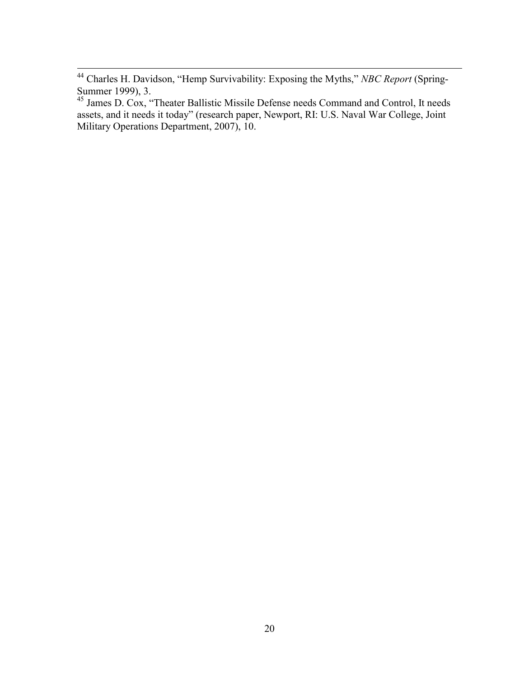$\overline{a}$ 

<sup>44</sup> Charles H. Davidson, "Hemp Survivability: Exposing the Myths," *NBC Report* (Spring-Summer 1999), 3.

<sup>&</sup>lt;sup>45</sup> James D. Cox, "Theater Ballistic Missile Defense needs Command and Control, It needs assets, and it needs it today" (research paper, Newport, RI: U.S. Naval War College, Joint Military Operations Department, 2007), 10.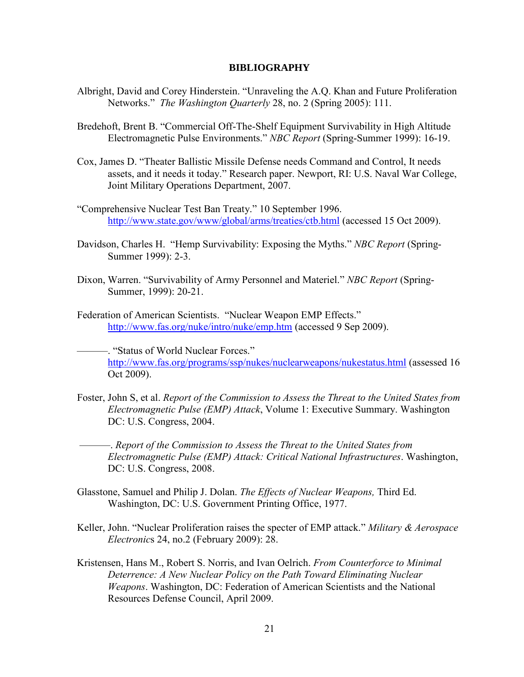#### **BIBLIOGRAPHY**

- Albright, David and Corey Hinderstein. "Unraveling the A.Q. Khan and Future Proliferation Networks." *The Washington Quarterly* 28, no. 2 (Spring 2005): 111.
- Bredehoft, Brent B. "Commercial Off-The-Shelf Equipment Survivability in High Altitude Electromagnetic Pulse Environments." *NBC Report* (Spring-Summer 1999): 16-19.
- Cox, James D. "Theater Ballistic Missile Defense needs Command and Control, It needs assets, and it needs it today." Research paper. Newport, RI: U.S. Naval War College, Joint Military Operations Department, 2007.
- "Comprehensive Nuclear Test Ban Treaty." 10 September 1996. <http://www.state.gov/www/global/arms/treaties/ctb.html> (accessed 15 Oct 2009).
- Davidson, Charles H. "Hemp Survivability: Exposing the Myths." *NBC Report* (Spring-Summer 1999): 2-3.
- Dixon, Warren. "Survivability of Army Personnel and Materiel." *NBC Report* (Spring-Summer, 1999): 20-21.
- Federation of American Scientists. "Nuclear Weapon EMP Effects." <http://www.fas.org/nuke/intro/nuke/emp.htm> (accessed 9 Sep 2009).

———. "Status of World Nuclear Forces." <http://www.fas.org/programs/ssp/nukes/nuclearweapons/nukestatus.html> (assessed 16 Oct 2009).

Foster, John S, et al. *Report of the Commission to Assess the Threat to the United States from Electromagnetic Pulse (EMP) Attack*, Volume 1: Executive Summary. Washington DC: U.S. Congress, 2004.

———. *Report of the Commission to Assess the Threat to the United States from Electromagnetic Pulse (EMP) Attack: Critical National Infrastructures*. Washington, DC: U.S. Congress, 2008.

- Glasstone, Samuel and Philip J. Dolan. *The Effects of Nuclear Weapons,* Third Ed. Washington, DC: U.S. Government Printing Office, 1977.
- Keller, John. "Nuclear Proliferation raises the specter of EMP attack." *Military & Aerospace Electronic*s 24, no.2 (February 2009): 28.
- Kristensen, Hans M., Robert S. Norris, and Ivan Oelrich. *From Counterforce to Minimal Deterrence: A New Nuclear Policy on the Path Toward Eliminating Nuclear Weapons*. Washington, DC: Federation of American Scientists and the National Resources Defense Council, April 2009.